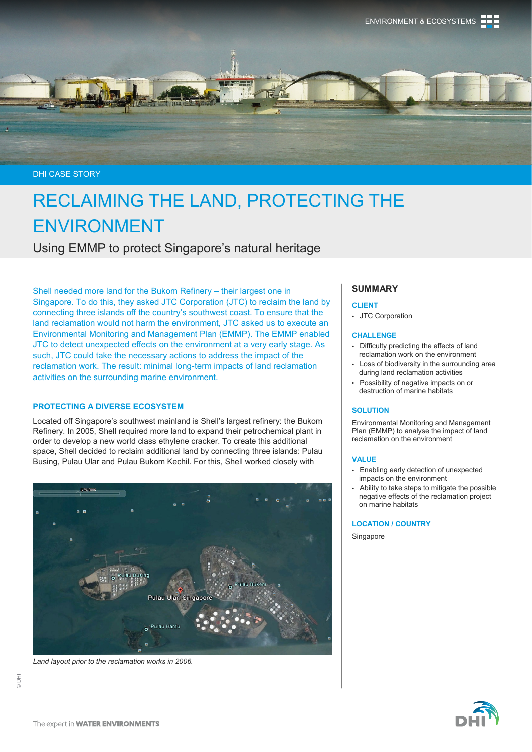

DHI CASE STORY

# RECLAIMING THE LAND, PROTECTING THE ENVIRONMENT

Using EMMP to protect Singapore's natural heritage

Shell needed more land for the Bukom Refinery – their largest one in Singapore. To do this, they asked JTC Corporation (JTC) to reclaim the land by connecting three islands off the country's southwest coast. To ensure that the land reclamation would not harm the environment, JTC asked us to execute an Environmental Monitoring and Management Plan (EMMP). The EMMP enabled JTC to detect unexpected effects on the environment at a very early stage. As such, JTC could take the necessary actions to address the impact of the reclamation work. The result: minimal long-term impacts of land reclamation activities on the surrounding marine environment.

## **PROTECTING A DIVERSE ECOSYSTEM**

Located off Singapore's southwest mainland is Shell's largest refinery: the Bukom Refinery. In 2005, Shell required more land to expand their petrochemical plant in order to develop a new world class ethylene cracker. To create this additional space, Shell decided to reclaim additional land by connecting three islands: Pulau Busing, Pulau Ular and Pulau Bukom Kechil. For this, Shell worked closely with



*Land layout prior to the reclamation works in 2006.*

## **SUMMARY**

#### **CLIENT**

JTC Corporation

#### **CHALLENGE**

- Difficulty predicting the effects of land reclamation work on the environment
- Loss of biodiversity in the surrounding area during land reclamation activities
- Possibility of negative impacts on or destruction of marine habitats

## **SOLUTION**

Environmental Monitoring and Management Plan (EMMP) to analyse the impact of land reclamation on the environment

#### **VALUE**

- Enabling early detection of unexpected impacts on the environment
- Ability to take steps to mitigate the possible negative effects of the reclamation project on marine habitats

**LOCATION / COUNTRY**

Singapore

© DHI